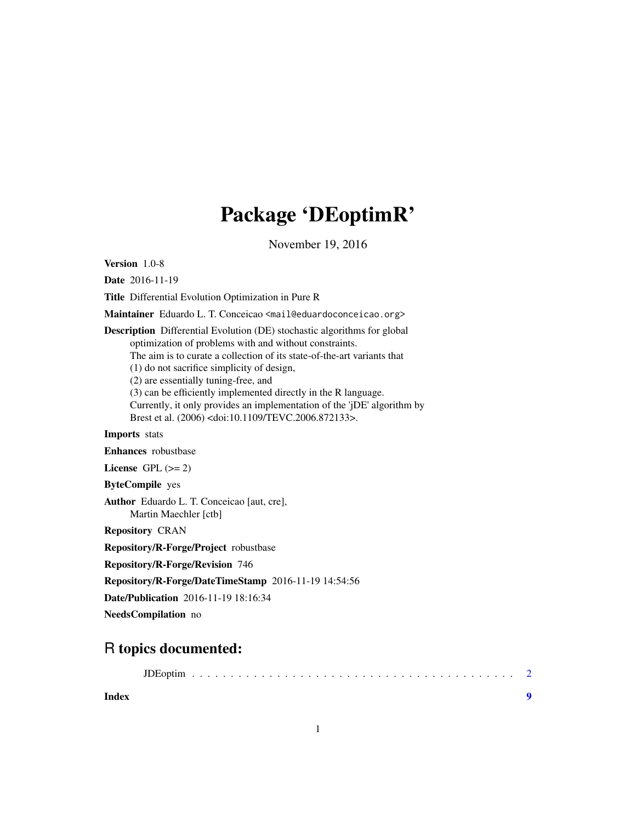## Package 'DEoptimR'

November 19, 2016

<span id="page-0-0"></span>Version 1.0-8

Date 2016-11-19

Title Differential Evolution Optimization in Pure R

Maintainer Eduardo L. T. Conceicao <mail@eduardoconceicao.org>

Description Differential Evolution (DE) stochastic algorithms for global optimization of problems with and without constraints. The aim is to curate a collection of its state-of-the-art variants that (1) do not sacrifice simplicity of design, (2) are essentially tuning-free, and (3) can be efficiently implemented directly in the R language. Currently, it only provides an implementation of the 'jDE' algorithm by Brest et al. (2006) <doi:10.1109/TEVC.2006.872133>. Imports stats

Enhances robustbase

License GPL  $(>= 2)$ 

ByteCompile yes

Author Eduardo L. T. Conceicao [aut, cre], Martin Maechler [ctb]

Repository CRAN

Repository/R-Forge/Project robustbase

Repository/R-Forge/Revision 746

Repository/R-Forge/DateTimeStamp 2016-11-19 14:54:56

Date/Publication 2016-11-19 18:16:34

NeedsCompilation no

### R topics documented:

**Index** [9](#page-8-0)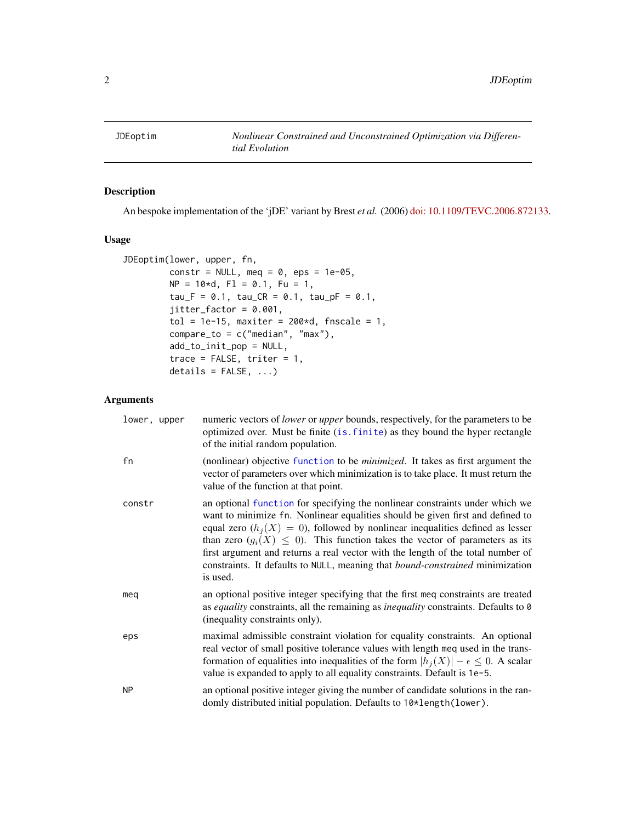<span id="page-1-0"></span>

#### Description

An bespoke implementation of the 'jDE' variant by Brest *et al.* (2006) [doi: 10.1109/TEVC.2006.872133.](http://doi.org/10.1109/TEVC.2006.872133)

#### Usage

```
JDEoptim(lower, upper, fn,
        constr = NULL, meq = 0, eps = 1e-05,
        NP = 10*d, F1 = 0.1, Fu = 1,tau_F = 0.1, tau_C = 0.1, tau_P = 0.1,
         jitter_factor = 0.001,
        tol = 1e-15, maxiter = 200*d, fnscale = 1,
        compare_to = c("median", "max"),
        add_to_init_pop = NULL,
         trace = FALSE, triter = 1,
        details = FALSE, ...)
```
#### Arguments

| lower, upper | numeric vectors of <i>lower</i> or <i>upper</i> bounds, respectively, for the parameters to be<br>optimized over. Must be finite (is. finite) as they bound the hyper rectangle<br>of the initial random population.                                                                                                                                                                                                                                                                                                           |
|--------------|--------------------------------------------------------------------------------------------------------------------------------------------------------------------------------------------------------------------------------------------------------------------------------------------------------------------------------------------------------------------------------------------------------------------------------------------------------------------------------------------------------------------------------|
| fn           | (nonlinear) objective function to be <i>minimized</i> . It takes as first argument the<br>vector of parameters over which minimization is to take place. It must return the<br>value of the function at that point.                                                                                                                                                                                                                                                                                                            |
| constr       | an optional function for specifying the nonlinear constraints under which we<br>want to minimize fn. Nonlinear equalities should be given first and defined to<br>equal zero $(h_i(X) = 0)$ , followed by nonlinear inequalities defined as lesser<br>than zero $(g_i(X) \leq 0)$ . This function takes the vector of parameters as its<br>first argument and returns a real vector with the length of the total number of<br>constraints. It defaults to NULL, meaning that <i>bound-constrained</i> minimization<br>is used. |
| meg          | an optional positive integer specifying that the first meq constraints are treated<br>as equality constraints, all the remaining as <i>inequality</i> constraints. Defaults to 0<br>(inequality constraints only).                                                                                                                                                                                                                                                                                                             |
| eps          | maximal admissible constraint violation for equality constraints. An optional<br>real vector of small positive tolerance values with length meq used in the trans-<br>formation of equalities into inequalities of the form $ h_i(X)  - \epsilon \leq 0$ . A scalar<br>value is expanded to apply to all equality constraints. Default is 1e-5.                                                                                                                                                                                |
| <b>NP</b>    | an optional positive integer giving the number of candidate solutions in the ran-<br>domly distributed initial population. Defaults to 10*length(lower).                                                                                                                                                                                                                                                                                                                                                                       |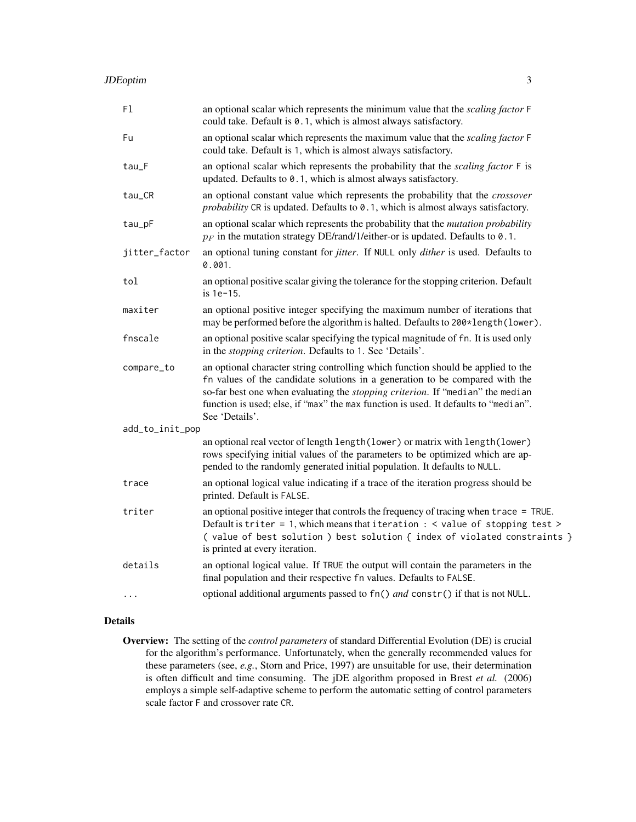| F1              | an optional scalar which represents the minimum value that the scaling factor F<br>could take. Default is 0.1, which is almost always satisfactory.                                                                                                                                                                                                                 |
|-----------------|---------------------------------------------------------------------------------------------------------------------------------------------------------------------------------------------------------------------------------------------------------------------------------------------------------------------------------------------------------------------|
| Fu              | an optional scalar which represents the maximum value that the scaling factor F<br>could take. Default is 1, which is almost always satisfactory.                                                                                                                                                                                                                   |
| tau_F           | an optional scalar which represents the probability that the <i>scaling factor</i> F is<br>updated. Defaults to 0.1, which is almost always satisfactory.                                                                                                                                                                                                           |
| tau_CR          | an optional constant value which represents the probability that the crossover<br>probability CR is updated. Defaults to 0.1, which is almost always satisfactory.                                                                                                                                                                                                  |
| tau_pF          | an optional scalar which represents the probability that the <i>mutation probability</i><br>$p_F$ in the mutation strategy DE/rand/1/either-or is updated. Defaults to 0.1.                                                                                                                                                                                         |
| jitter_factor   | an optional tuning constant for <i>jitter</i> . If NULL only <i>dither</i> is used. Defaults to<br>0.001.                                                                                                                                                                                                                                                           |
| tol             | an optional positive scalar giving the tolerance for the stopping criterion. Default<br>is 1e-15.                                                                                                                                                                                                                                                                   |
| maxiter         | an optional positive integer specifying the maximum number of iterations that<br>may be performed before the algorithm is halted. Defaults to 200*length(lower).                                                                                                                                                                                                    |
| fnscale         | an optional positive scalar specifying the typical magnitude of fn. It is used only<br>in the <i>stopping criterion</i> . Defaults to 1. See 'Details'.                                                                                                                                                                                                             |
| compare_to      | an optional character string controlling which function should be applied to the<br>fn values of the candidate solutions in a generation to be compared with the<br>so-far best one when evaluating the <i>stopping criterion</i> . If "median" the median<br>function is used; else, if "max" the max function is used. It defaults to "median".<br>See 'Details'. |
| add_to_init_pop |                                                                                                                                                                                                                                                                                                                                                                     |
|                 | an optional real vector of length length (lower) or matrix with length (lower)<br>rows specifying initial values of the parameters to be optimized which are ap-<br>pended to the randomly generated initial population. It defaults to NULL.                                                                                                                       |
| trace           | an optional logical value indicating if a trace of the iteration progress should be<br>printed. Default is FALSE.                                                                                                                                                                                                                                                   |
| triter          | an optional positive integer that controls the frequency of tracing when trace = TRUE.<br>Default is triter = 1, which means that iteration $:$ < value of stopping test ><br>(value of best solution ) best solution { index of violated constraints }<br>is printed at every iteration.                                                                           |
| details         | an optional logical value. If TRUE the output will contain the parameters in the<br>final population and their respective fn values. Defaults to FALSE.                                                                                                                                                                                                             |
|                 | optional additional arguments passed to fn() and constr() if that is not NULL.                                                                                                                                                                                                                                                                                      |

#### Details

Overview: The setting of the *control parameters* of standard Differential Evolution (DE) is crucial for the algorithm's performance. Unfortunately, when the generally recommended values for these parameters (see, *e.g.*, Storn and Price, 1997) are unsuitable for use, their determination is often difficult and time consuming. The jDE algorithm proposed in Brest *et al.* (2006) employs a simple self-adaptive scheme to perform the automatic setting of control parameters scale factor F and crossover rate CR.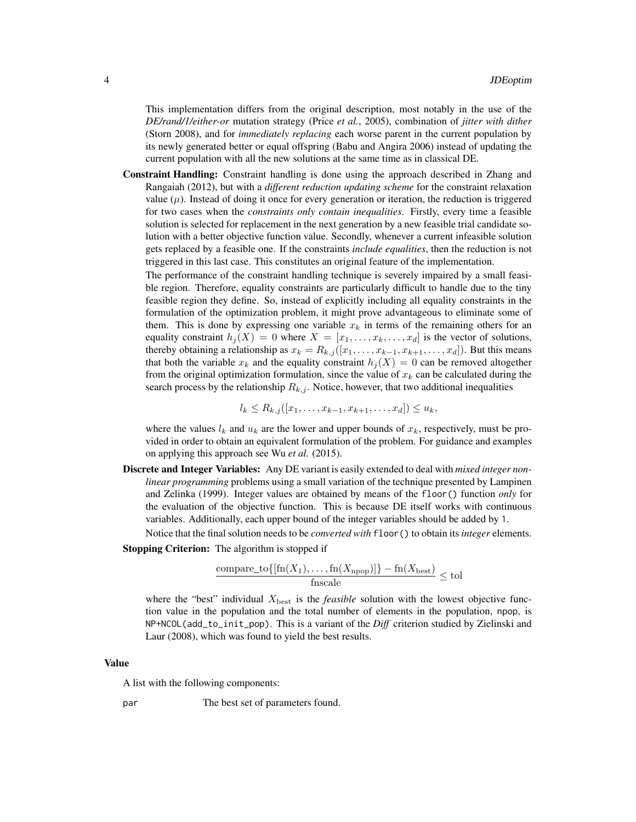This implementation differs from the original description, most notably in the use of the *DE/rand/1/either-or* mutation strategy (Price *et al.*, 2005), combination of *jitter with dither* (Storn 2008), and for *immediately replacing* each worse parent in the current population by its newly generated better or equal offspring (Babu and Angira 2006) instead of updating the current population with all the new solutions at the same time as in classical DE.

Constraint Handling: Constraint handling is done using the approach described in Zhang and Rangaiah (2012), but with a *different reduction updating scheme* for the constraint relaxation value  $(\mu)$ . Instead of doing it once for every generation or iteration, the reduction is triggered for two cases when the *constraints only contain inequalities*. Firstly, every time a feasible solution is selected for replacement in the next generation by a new feasible trial candidate solution with a better objective function value. Secondly, whenever a current infeasible solution gets replaced by a feasible one. If the constraints *include equalities*, then the reduction is not triggered in this last case. This constitutes an original feature of the implementation.

The performance of the constraint handling technique is severely impaired by a small feasible region. Therefore, equality constraints are particularly difficult to handle due to the tiny feasible region they define. So, instead of explicitly including all equality constraints in the formulation of the optimization problem, it might prove advantageous to eliminate some of them. This is done by expressing one variable  $x_k$  in terms of the remaining others for an equality constraint  $h_i(X) = 0$  where  $X = [x_1, \ldots, x_k, \ldots, x_d]$  is the vector of solutions, thereby obtaining a relationship as  $x_k = R_{k,j}([x_1, \ldots, x_{k-1}, x_{k+1}, \ldots, x_d])$ . But this means that both the variable  $x_k$  and the equality constraint  $h_j(X) = 0$  can be removed altogether from the original optimization formulation, since the value of  $x_k$  can be calculated during the search process by the relationship  $R_{k,j}$ . Notice, however, that two additional inequalities

$$
l_k \leq R_{k,j}([x_1,\ldots,x_{k-1},x_{k+1},\ldots,x_d]) \leq u_k,
$$

where the values  $l_k$  and  $u_k$  are the lower and upper bounds of  $x_k$ , respectively, must be provided in order to obtain an equivalent formulation of the problem. For guidance and examples on applying this approach see Wu *et al.* (2015).

Discrete and Integer Variables: Any DE variant is easily extended to deal with *mixed integer nonlinear programming* problems using a small variation of the technique presented by Lampinen and Zelinka (1999). Integer values are obtained by means of the floor() function *only* for the evaluation of the objective function. This is because DE itself works with continuous variables. Additionally, each upper bound of the integer variables should be added by 1.

Notice that the final solution needs to be *converted with* floor() to obtain its *integer* elements.

Stopping Criterion: The algorithm is stopped if

$$
\frac{\text{compare\_to}\{[\text{fn}(X_1), \dots, \text{fn}(X_{\text{nop}})]\} - \text{fn}(X_{\text{best}})}{\text{fnscale}} \le \text{tol}
$$

where the "best" individual  $X_{\text{best}}$  is the *feasible* solution with the lowest objective function value in the population and the total number of elements in the population, npop, is NP+NCOL(add\_to\_init\_pop). This is a variant of the *Diff* criterion studied by Zielinski and Laur (2008), which was found to yield the best results.

#### Value

A list with the following components:

par The best set of parameters found.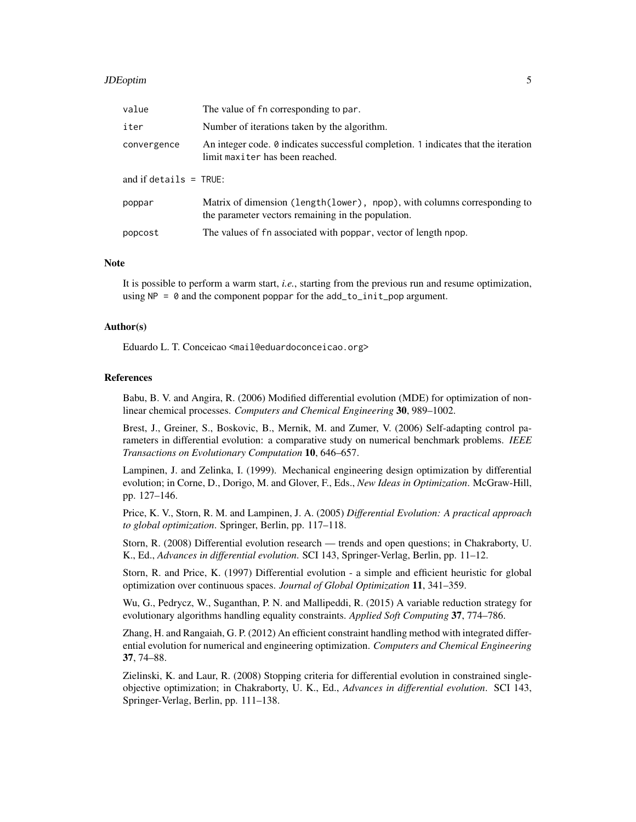#### JDEoptim 5

| value                    | The value of fn corresponding to par.                                                                                          |
|--------------------------|--------------------------------------------------------------------------------------------------------------------------------|
| iter                     | Number of iterations taken by the algorithm.                                                                                   |
| convergence              | An integer code. $\theta$ indicates successful completion. 1 indicates that the iteration<br>limit maxiter has been reached.   |
| and if details $=$ TRUE: |                                                                                                                                |
| poppar                   | Matrix of dimension (length(lower), npop), with columns corresponding to<br>the parameter vectors remaining in the population. |
| popcost                  | The values of fn associated with poppar, vector of length npop.                                                                |

#### **Note**

It is possible to perform a warm start, *i.e.*, starting from the previous run and resume optimization, using  $NP = 0$  and the component poppar for the add\_to\_init\_pop argument.

#### Author(s)

Eduardo L. T. Conceicao <mail@eduardoconceicao.org>

#### References

Babu, B. V. and Angira, R. (2006) Modified differential evolution (MDE) for optimization of nonlinear chemical processes. *Computers and Chemical Engineering* 30, 989–1002.

Brest, J., Greiner, S., Boskovic, B., Mernik, M. and Zumer, V. (2006) Self-adapting control parameters in differential evolution: a comparative study on numerical benchmark problems. *IEEE Transactions on Evolutionary Computation* 10, 646–657.

Lampinen, J. and Zelinka, I. (1999). Mechanical engineering design optimization by differential evolution; in Corne, D., Dorigo, M. and Glover, F., Eds., *New Ideas in Optimization*. McGraw-Hill, pp. 127–146.

Price, K. V., Storn, R. M. and Lampinen, J. A. (2005) *Differential Evolution: A practical approach to global optimization*. Springer, Berlin, pp. 117–118.

Storn, R. (2008) Differential evolution research — trends and open questions; in Chakraborty, U. K., Ed., *Advances in differential evolution*. SCI 143, Springer-Verlag, Berlin, pp. 11–12.

Storn, R. and Price, K. (1997) Differential evolution - a simple and efficient heuristic for global optimization over continuous spaces. *Journal of Global Optimization* 11, 341–359.

Wu, G., Pedrycz, W., Suganthan, P. N. and Mallipeddi, R. (2015) A variable reduction strategy for evolutionary algorithms handling equality constraints. *Applied Soft Computing* 37, 774–786.

Zhang, H. and Rangaiah, G. P. (2012) An efficient constraint handling method with integrated differential evolution for numerical and engineering optimization. *Computers and Chemical Engineering* 37, 74–88.

Zielinski, K. and Laur, R. (2008) Stopping criteria for differential evolution in constrained singleobjective optimization; in Chakraborty, U. K., Ed., *Advances in differential evolution*. SCI 143, Springer-Verlag, Berlin, pp. 111–138.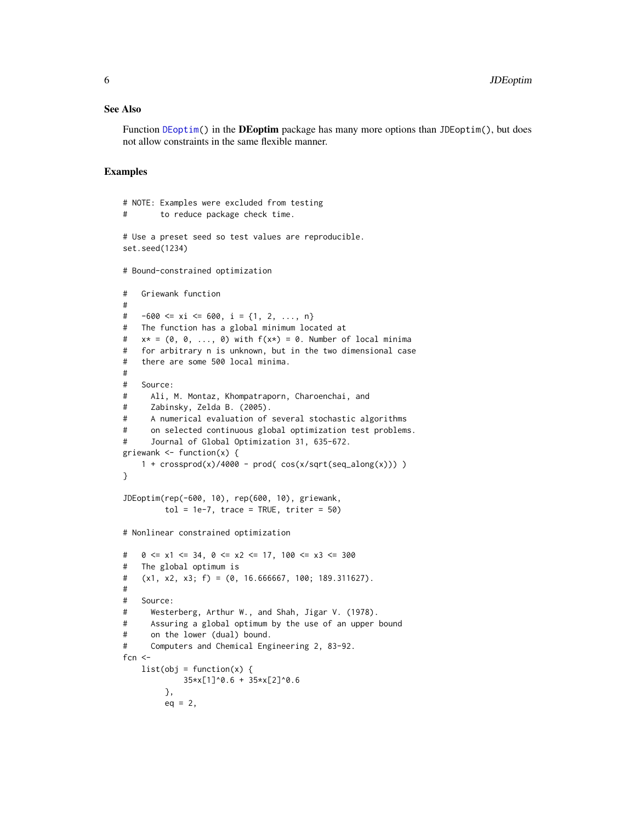#### <span id="page-5-0"></span>See Also

Function [DEoptim\(](#page-0-0)) in the **DEoptim** package has many more options than JDEoptim(), but does not allow constraints in the same flexible manner.

#### Examples

```
# NOTE: Examples were excluded from testing
# to reduce package check time.
# Use a preset seed so test values are reproducible.
set.seed(1234)
# Bound-constrained optimization
# Griewank function
#
# -600 \le xi \le 600, i = \{1, 2, ..., n\}# The function has a global minimum located at
# x* = (0, 0, \ldots, 0) with f(x*) = 0. Number of local minima
# for arbitrary n is unknown, but in the two dimensional case
# there are some 500 local minima.
#
# Source:
# Ali, M. Montaz, Khompatraporn, Charoenchai, and
# Zabinsky, Zelda B. (2005).
# A numerical evaluation of several stochastic algorithms
# on selected continuous global optimization test problems.
# Journal of Global Optimization 31, 635-672.
griewank \leq function(x) {
    1 + \text{crossprod}(x)/4000 - \text{prod}( \cos(x/\text{sqrt}(\text{seq}_\text{along}(x)))) )}
JDEoptim(rep(-600, 10), rep(600, 10), griewank,
         tol = 1e-7, trace = TRUE, triter = 50)
# Nonlinear constrained optimization
# 0 \le x1 \le 34, 0 \le x2 \le 17, 100 \le x3 \le 300# The global optimum is
# (x1, x2, x3; f) = (0, 16.666667, 100; 189.311627).
#
# Source:
# Westerberg, Arthur W., and Shah, Jigar V. (1978).
# Assuring a global optimum by the use of an upper bound
# on the lower (dual) bound.
# Computers and Chemical Engineering 2, 83-92.
fcn <-list(obj = function(x) { }35*x[1]^0.6 + 35*x[2]^0.6
        },
        eq = 2,
```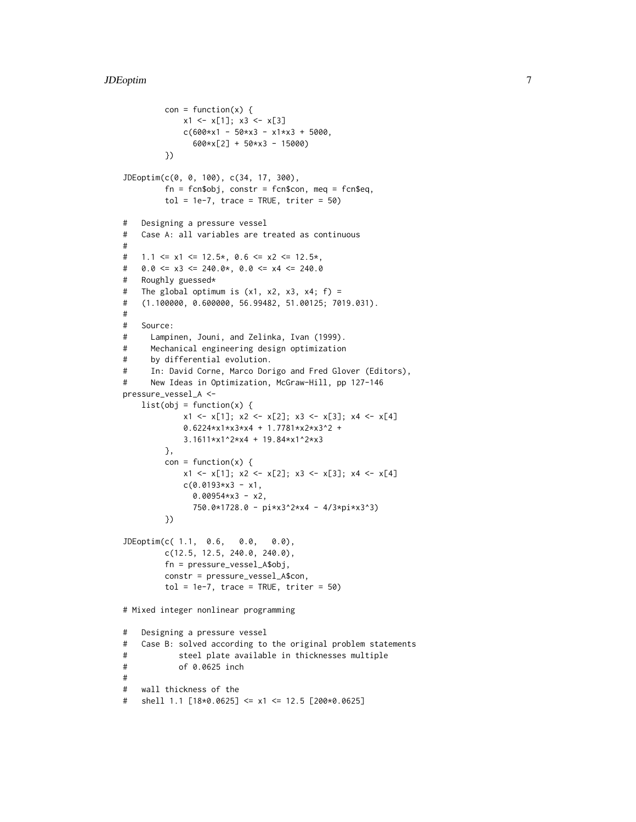```
con = function(x) {
             x1 \leftarrow x[1]; x3 \leftarrow x[3]c(600*x1 - 50*x3 - x1*x3 + 5000,600*x[2] + 50*x3 - 15000)
         })
JDEoptim(c(0, 0, 100), c(34, 17, 300),
         fn = fcn$obj, constr = fcn$con, meq = fcn$eq,
         tol = 1e-7, trace = TRUE, triter = 50)
# Designing a pressure vessel
# Case A: all variables are treated as continuous
#
# 1.1 \le x1 \le 12.5*, 0.6 \le x2 \le 12.5*,
# 0.0 \le x3 \le 240.0*, 0.0 \le x4 \le 240.0# Roughly guessed*
# The global optimum is (x1, x2, x3, x4; f) =# (1.100000, 0.600000, 56.99482, 51.00125; 7019.031).
#
# Source:
# Lampinen, Jouni, and Zelinka, Ivan (1999).
# Mechanical engineering design optimization
# by differential evolution.
# In: David Corne, Marco Dorigo and Fred Glover (Editors),
# New Ideas in Optimization, McGraw-Hill, pp 127-146
pressure_vessel_A <-
    list(obj = function(x) { }x1 \leftarrow x[1]; x2 \leftarrow x[2]; x3 \leftarrow x[3]; x4 \leftarrow x[4]0.6224*x1*x3*x4 + 1.7781*x2*x3^2 +
             3.1611*x1^2*x4 + 19.84*x1^2*x3
         },
         con = function(x) {
             x1 \leftarrow x[1]; x2 \leftarrow x[2]; x3 \leftarrow x[3]; x4 \leftarrow x[4]c(0.0193*x3 - x1,0.00954*x3 - x2,750.0*1728.0 - pi*x3^2*x4 - 4/3*pi*x3^3)
         })
JDEoptim(c( 1.1, 0.6, 0.0, 0.0),
         c(12.5, 12.5, 240.0, 240.0),
         fn = pressure_vessel_A$obj,
         constr = pressure_vessel_A$con,
         tol = 1e-7, trace = TRUE, triter = 50)
# Mixed integer nonlinear programming
# Designing a pressure vessel
# Case B: solved according to the original problem statements
# steel plate available in thicknesses multiple
# of 0.0625 inch
#
# wall thickness of the
# shell 1.1 [18*0.0625] <= x1 <= 12.5 [200*0.0625]
```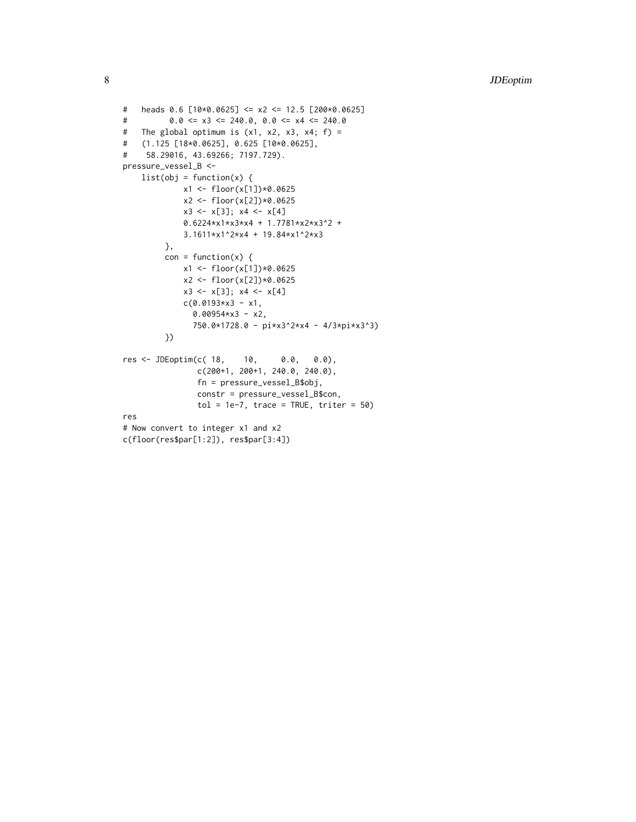```
# heads 0.6 [10*0.0625] <= x2 <= 12.5 [200*0.0625]
# 0.0 \le x3 \le 240.0, 0.0 \le x4 \le 240.0# The global optimum is (x1, x2, x3, x4; f) =# (1.125 [18*0.0625], 0.625 [10*0.0625],
# 58.29016, 43.69266; 7197.729).
pressure_vessel_B <-
   list(obj = function(x) { }x1 <- floor(x[1])*0.0625
            x2 <- floor(x[2])*0.0625
            x3 \le x[3]; x4 \le x[4]0.6224*x1*x3*x4 + 1.7781*x2*x3^2 +
            3.1611*x1^2*x4 + 19.84*x1^2*x3
        },
        con = function(x) {
            x1 <- floor(x[1])*0.0625
            x2 <- floor(x[2])*0.0625
            x3 \le x[3]; x4 \le x[4]c(0.0193*x3 - x1,0.00954*x3 - x2,750.0*1728.0 - pi*x3^2*x4 - 4/3*pi*x3^3)
        })
res <- JDEoptim(c( 18, 10, 0.0, 0.0),
               c(200+1, 200+1, 240.0, 240.0),
               fn = pressure_vessel_B$obj,
               constr = pressure_vessel_B$con,
               tol = 1e-7, trace = TRUE, triter = 50)
res
# Now convert to integer x1 and x2
c(floor(res$par[1:2]), res$par[3:4])
```